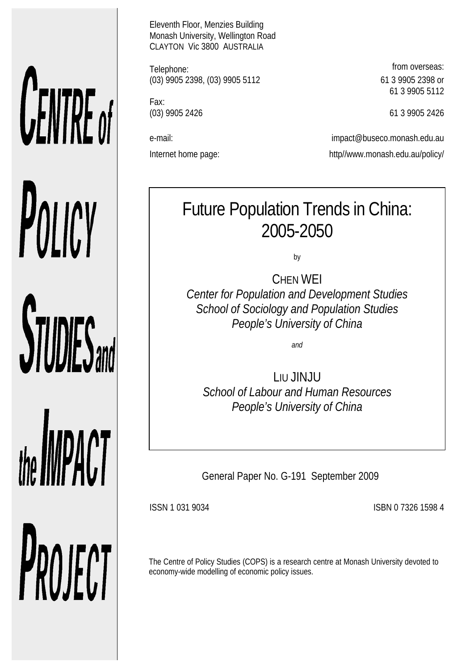# CENTRE of POLICY **STUDIES**

the **IMPACT** PROJECT Eleventh Floor, Menzies Building Monash University, Wellington Road CLAYTON Vic 3800 AUSTRALIA

Telephone: **from overseas:** (03) 9905 2398, (03) 9905 5112 61 3 9905 2398 or

Fax:

61 3 9905 5112

(03) 9905 2426 61 3 9905 2426

e-mail: impact@buseco.monash.edu.au Internet home page: http://www.monash.edu.au/policy/

# Future Population Trends in China: 2005-2050

by

CHEN WEI *Center for Population and Development Studies School of Sociology and Population Studies People's University of China* 

*and*

LIU JINJU *School of Labour and Human Resources People's University of China* 

General Paper No. G-191 September 2009

ISSN 1 031 9034 ISBN 0 7326 1598 4

The Centre of Policy Studies (COPS) is a research centre at Monash University devoted to economy-wide modelling of economic policy issues.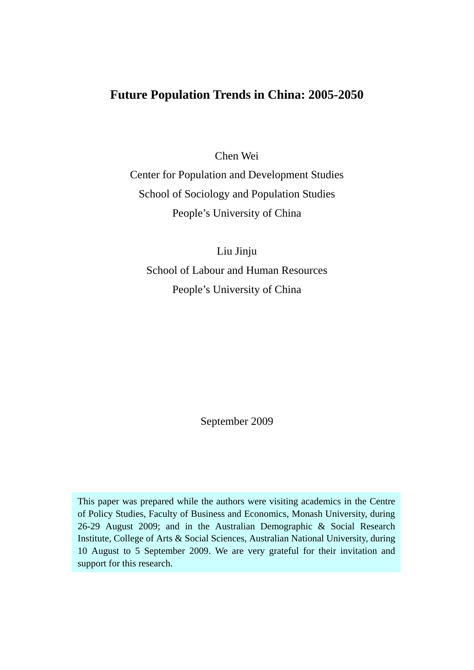# **Future Population Trends in China: 2005-2050**

Chen Wei

Center for Population and Development Studies School of Sociology and Population Studies People's University of China

Liu Jinju School of Labour and Human Resources People's University of China

September 2009

This paper was prepared while the authors were visiting academics in the Centre of Policy Studies, Faculty of Business and Economics, Monash University, during 26-29 August 2009; and in the Australian Demographic & Social Research Institute, College of Arts & Social Sciences, Australian National University, during 10 August to 5 September 2009. We are very grateful for their invitation and support for this research.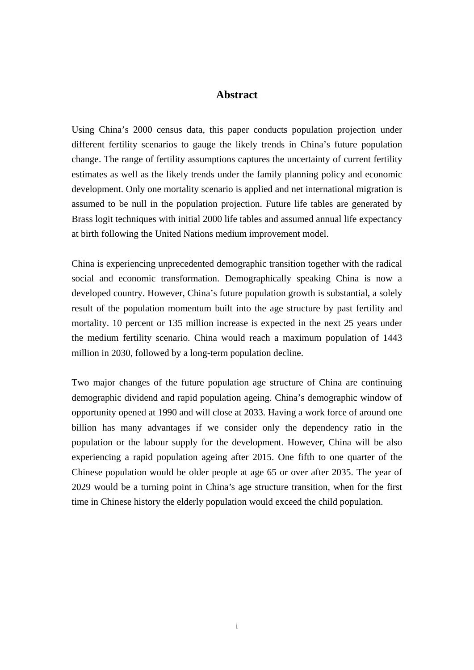#### **Abstract**

Using China's 2000 census data, this paper conducts population projection under different fertility scenarios to gauge the likely trends in China's future population change. The range of fertility assumptions captures the uncertainty of current fertility estimates as well as the likely trends under the family planning policy and economic development. Only one mortality scenario is applied and net international migration is assumed to be null in the population projection. Future life tables are generated by Brass logit techniques with initial 2000 life tables and assumed annual life expectancy at birth following the United Nations medium improvement model.

China is experiencing unprecedented demographic transition together with the radical social and economic transformation. Demographically speaking China is now a developed country. However, China's future population growth is substantial, a solely result of the population momentum built into the age structure by past fertility and mortality. 10 percent or 135 million increase is expected in the next 25 years under the medium fertility scenario. China would reach a maximum population of 1443 million in 2030, followed by a long-term population decline.

Two major changes of the future population age structure of China are continuing demographic dividend and rapid population ageing. China's demographic window of opportunity opened at 1990 and will close at 2033. Having a work force of around one billion has many advantages if we consider only the dependency ratio in the population or the labour supply for the development. However, China will be also experiencing a rapid population ageing after 2015. One fifth to one quarter of the Chinese population would be older people at age 65 or over after 2035. The year of 2029 would be a turning point in China's age structure transition, when for the first time in Chinese history the elderly population would exceed the child population.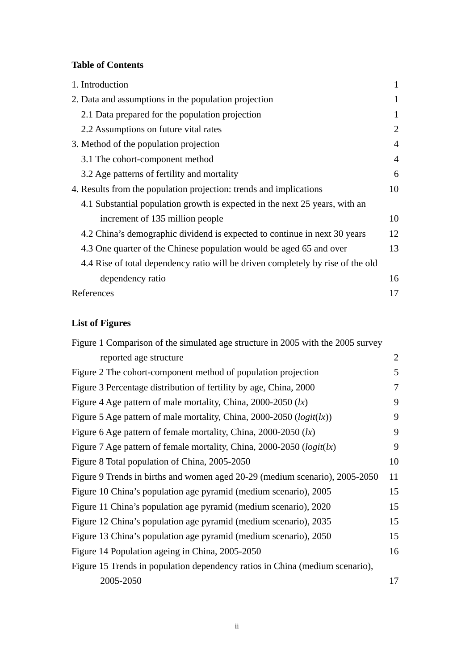#### **Table of Contents**

| 1. Introduction                                                                 | 1              |
|---------------------------------------------------------------------------------|----------------|
| 2. Data and assumptions in the population projection                            | 1              |
| 2.1 Data prepared for the population projection                                 | 1              |
| 2.2 Assumptions on future vital rates                                           | $\overline{2}$ |
| 3. Method of the population projection                                          | $\overline{A}$ |
| 3.1 The cohort-component method                                                 | $\overline{4}$ |
| 3.2 Age patterns of fertility and mortality                                     | 6              |
| 4. Results from the population projection: trends and implications              | 10             |
| 4.1 Substantial population growth is expected in the next 25 years, with an     |                |
| increment of 135 million people                                                 | 10             |
| 4.2 China's demographic dividend is expected to continue in next 30 years       | 12             |
| 4.3 One quarter of the Chinese population would be aged 65 and over             | 13             |
| 4.4 Rise of total dependency ratio will be driven completely by rise of the old |                |
| dependency ratio                                                                | 16             |
| References                                                                      | 17             |

# **List of Figures**

| Figure 1 Comparison of the simulated age structure in 2005 with the 2005 survey |                |
|---------------------------------------------------------------------------------|----------------|
| reported age structure                                                          | $\overline{2}$ |
| Figure 2 The cohort-component method of population projection                   | 5              |
| Figure 3 Percentage distribution of fertility by age, China, 2000               | 7              |
| Figure 4 Age pattern of male mortality, China, $2000-2050$ (lx)                 | 9              |
| Figure 5 Age pattern of male mortality, China, 2000-2050 ( $logit(lx)$ )        | 9              |
| Figure 6 Age pattern of female mortality, China, $2000-2050$ (lx)               | 9              |
| Figure 7 Age pattern of female mortality, China, 2000-2050 ( $logit(kx)$ )      | 9              |
| Figure 8 Total population of China, 2005-2050                                   | 10             |
| Figure 9 Trends in births and women aged 20-29 (medium scenario), 2005-2050     | 11             |
| Figure 10 China's population age pyramid (medium scenario), 2005                | 15             |
| Figure 11 China's population age pyramid (medium scenario), 2020                | 15             |
| Figure 12 China's population age pyramid (medium scenario), 2035                | 15             |
| Figure 13 China's population age pyramid (medium scenario), 2050                | 15             |
| Figure 14 Population ageing in China, 2005-2050                                 | 16             |
| Figure 15 Trends in population dependency ratios in China (medium scenario),    |                |
| 2005-2050                                                                       | 17             |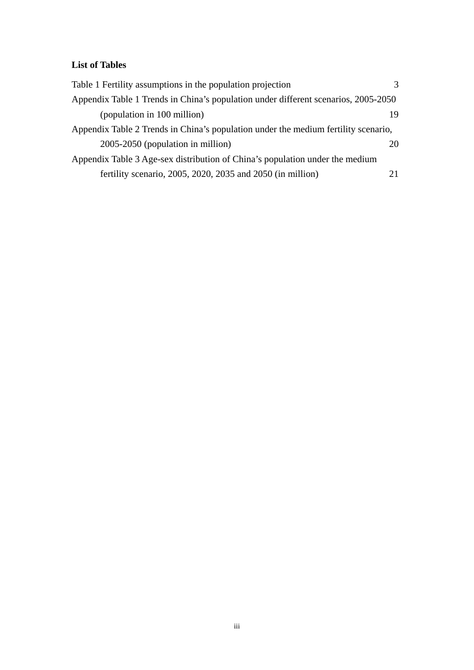# **List of Tables**

| Table 1 Fertility assumptions in the population projection                         | $\mathcal{F}$ |  |  |  |  |  |  |
|------------------------------------------------------------------------------------|---------------|--|--|--|--|--|--|
| Appendix Table 1 Trends in China's population under different scenarios, 2005-2050 |               |  |  |  |  |  |  |
| (population in 100 million)                                                        | 19            |  |  |  |  |  |  |
| Appendix Table 2 Trends in China's population under the medium fertility scenario, |               |  |  |  |  |  |  |
| 2005-2050 (population in million)                                                  | 20.           |  |  |  |  |  |  |
| Appendix Table 3 Age-sex distribution of China's population under the medium       |               |  |  |  |  |  |  |
| fertility scenario, 2005, 2020, 2035 and 2050 (in million)                         |               |  |  |  |  |  |  |
|                                                                                    |               |  |  |  |  |  |  |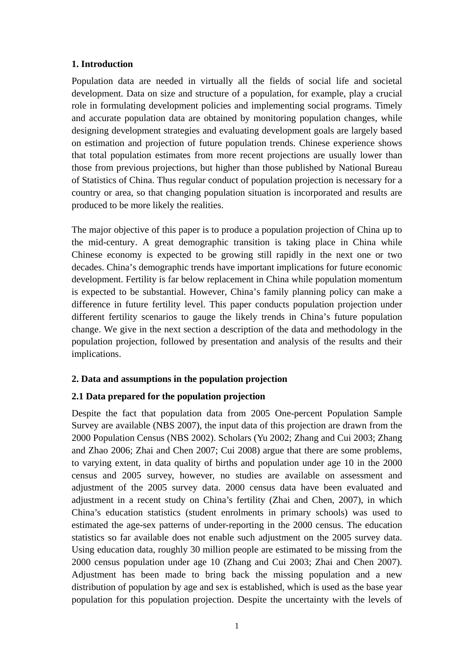#### **1. Introduction**

Population data are needed in virtually all the fields of social life and societal development. Data on size and structure of a population, for example, play a crucial role in formulating development policies and implementing social programs. Timely and accurate population data are obtained by monitoring population changes, while designing development strategies and evaluating development goals are largely based on estimation and projection of future population trends. Chinese experience shows that total population estimates from more recent projections are usually lower than those from previous projections, but higher than those published by National Bureau of Statistics of China. Thus regular conduct of population projection is necessary for a country or area, so that changing population situation is incorporated and results are produced to be more likely the realities.

The major objective of this paper is to produce a population projection of China up to the mid-century. A great demographic transition is taking place in China while Chinese economy is expected to be growing still rapidly in the next one or two decades. China's demographic trends have important implications for future economic development. Fertility is far below replacement in China while population momentum is expected to be substantial. However, China's family planning policy can make a difference in future fertility level. This paper conducts population projection under different fertility scenarios to gauge the likely trends in China's future population change. We give in the next section a description of the data and methodology in the population projection, followed by presentation and analysis of the results and their implications.

#### **2. Data and assumptions in the population projection**

#### **2.1 Data prepared for the population projection**

Despite the fact that population data from 2005 One-percent Population Sample Survey are available (NBS 2007), the input data of this projection are drawn from the 2000 Population Census (NBS 2002). Scholars (Yu 2002; Zhang and Cui 2003; Zhang and Zhao 2006; Zhai and Chen 2007; Cui 2008) argue that there are some problems, to varying extent, in data quality of births and population under age 10 in the 2000 census and 2005 survey, however, no studies are available on assessment and adjustment of the 2005 survey data. 2000 census data have been evaluated and adjustment in a recent study on China's fertility (Zhai and Chen, 2007), in which China's education statistics (student enrolments in primary schools) was used to estimated the age-sex patterns of under-reporting in the 2000 census. The education statistics so far available does not enable such adjustment on the 2005 survey data. Using education data, roughly 30 million people are estimated to be missing from the 2000 census population under age 10 (Zhang and Cui 2003; Zhai and Chen 2007). Adjustment has been made to bring back the missing population and a new distribution of population by age and sex is established, which is used as the base year population for this population projection. Despite the uncertainty with the levels of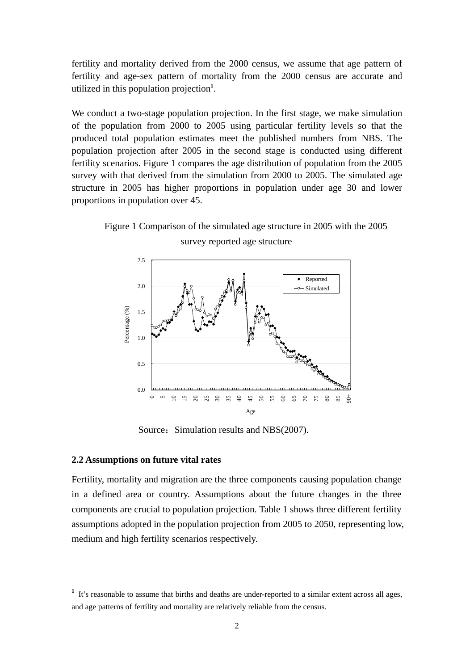fertility and mortality derived from the 2000 census, we assume that age pattern of fertility and age-sex pattern of mortality from the 2000 census are accurate and utilized in this population projection**<sup>1</sup>** .

We conduct a two-stage population projection. In the first stage, we make simulation of the population from 2000 to 2005 using particular fertility levels so that the produced total population estimates meet the published numbers from NBS. The population projection after 2005 in the second stage is conducted using different fertility scenarios. Figure 1 compares the age distribution of population from the 2005 survey with that derived from the simulation from 2000 to 2005. The simulated age structure in 2005 has higher proportions in population under age 30 and lower proportions in population over 45.

Figure 1 Comparison of the simulated age structure in 2005 with the 2005 survey reported age structure



Source: Simulation results and NBS(2007).

#### **2.2 Assumptions on future vital rates**

<u>.</u>

Fertility, mortality and migration are the three components causing population change in a defined area or country. Assumptions about the future changes in the three components are crucial to population projection. Table 1 shows three different fertility assumptions adopted in the population projection from 2005 to 2050, representing low, medium and high fertility scenarios respectively.

<sup>&</sup>lt;sup>1</sup> It's reasonable to assume that births and deaths are under-reported to a similar extent across all ages, and age patterns of fertility and mortality are relatively reliable from the census.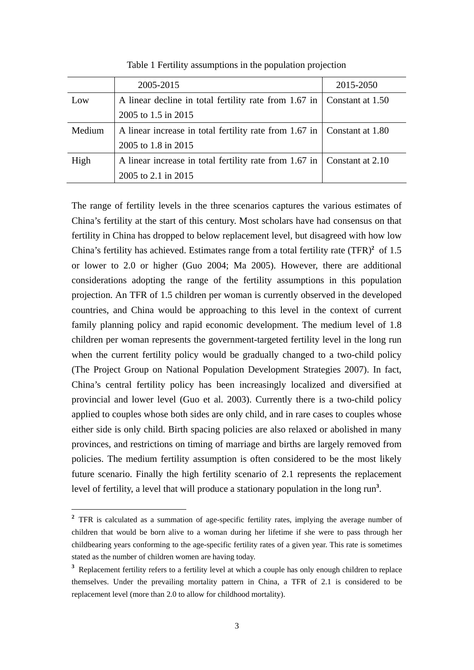|        | 2005-2015                                                                 | 2015-2050 |
|--------|---------------------------------------------------------------------------|-----------|
| Low    | A linear decline in total fertility rate from 1.67 in   Constant at 1.50  |           |
|        | 2005 to 1.5 in 2015                                                       |           |
| Medium | A linear increase in total fertility rate from 1.67 in   Constant at 1.80 |           |
|        | 2005 to 1.8 in 2015                                                       |           |
| High   | A linear increase in total fertility rate from 1.67 in   Constant at 2.10 |           |
|        | 2005 to 2.1 in 2015                                                       |           |

Table 1 Fertility assumptions in the population projection

The range of fertility levels in the three scenarios captures the various estimates of China's fertility at the start of this century. Most scholars have had consensus on that fertility in China has dropped to below replacement level, but disagreed with how low China's fertility has achieved. Estimates range from a total fertility rate  $(TFR)^2$  of 1.5 or lower to 2.0 or higher (Guo 2004; Ma 2005). However, there are additional considerations adopting the range of the fertility assumptions in this population projection. An TFR of 1.5 children per woman is currently observed in the developed countries, and China would be approaching to this level in the context of current family planning policy and rapid economic development. The medium level of 1.8 children per woman represents the government-targeted fertility level in the long run when the current fertility policy would be gradually changed to a two-child policy (The Project Group on National Population Development Strategies 2007). In fact, China's central fertility policy has been increasingly localized and diversified at provincial and lower level (Guo et al. 2003). Currently there is a two-child policy applied to couples whose both sides are only child, and in rare cases to couples whose either side is only child. Birth spacing policies are also relaxed or abolished in many provinces, and restrictions on timing of marriage and births are largely removed from policies. The medium fertility assumption is often considered to be the most likely future scenario. Finally the high fertility scenario of 2.1 represents the replacement level of fertility, a level that will produce a stationary population in the long run<sup>3</sup>.

<u>.</u>

<sup>&</sup>lt;sup>2</sup> TFR is calculated as a summation of age-specific fertility rates, implying the average number of children that would be born alive to a woman during her lifetime if she were to pass through her childbearing years conforming to the age-specific fertility rates of a given year. This rate is sometimes stated as the number of children women are having today.

<sup>&</sup>lt;sup>3</sup> Replacement fertility refers to a fertility level at which a couple has only enough children to replace themselves. Under the prevailing mortality pattern in China, a TFR of 2.1 is considered to be replacement level (more than 2.0 to allow for childhood mortality).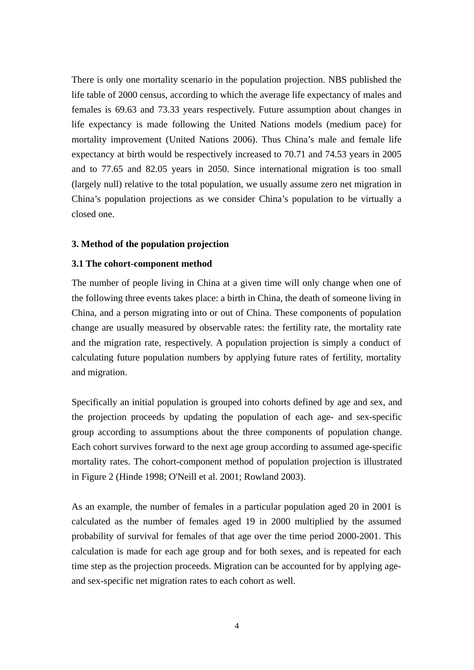There is only one mortality scenario in the population projection. NBS published the life table of 2000 census, according to which the average life expectancy of males and females is 69.63 and 73.33 years respectively. Future assumption about changes in life expectancy is made following the United Nations models (medium pace) for mortality improvement (United Nations 2006). Thus China's male and female life expectancy at birth would be respectively increased to 70.71 and 74.53 years in 2005 and to 77.65 and 82.05 years in 2050. Since international migration is too small (largely null) relative to the total population, we usually assume zero net migration in China's population projections as we consider China's population to be virtually a closed one.

#### **3. Method of the population projection**

#### **3.1 The cohort-component method**

The number of people living in China at a given time will only change when one of the following three events takes place: a birth in China, the death of someone living in China, and a person migrating into or out of China. These components of population change are usually measured by observable rates: the fertility rate, the mortality rate and the migration rate, respectively. A population projection is simply a conduct of calculating future population numbers by applying future rates of fertility, mortality and migration.

Specifically an initial population is grouped into cohorts defined by age and sex, and the projection proceeds by updating the population of each age- and sex-specific group according to assumptions about the three components of population change. Each cohort survives forward to the next age group according to assumed age-specific mortality rates. The cohort-component method of population projection is illustrated in Figure 2 (Hinde 1998; O'Neill et al. 2001; Rowland 2003).

As an example, the number of females in a particular population aged 20 in 2001 is calculated as the number of females aged 19 in 2000 multiplied by the assumed probability of survival for females of that age over the time period 2000-2001. This calculation is made for each age group and for both sexes, and is repeated for each time step as the projection proceeds. Migration can be accounted for by applying ageand sex-specific net migration rates to each cohort as well.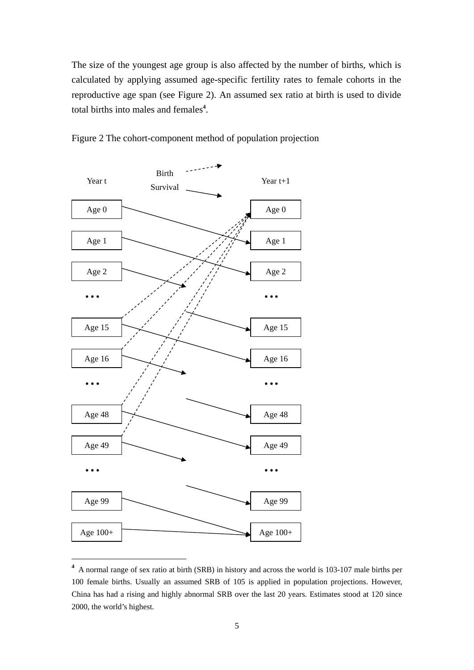The size of the youngest age group is also affected by the number of births, which is calculated by applying assumed age-specific fertility rates to female cohorts in the reproductive age span (see Figure 2). An assumed sex ratio at birth is used to divide total births into males and females**<sup>4</sup>** .



Figure 2 The cohort-component method of population projection

**<sup>4</sup>** A normal range of sex ratio at birth (SRB) in history and across the world is 103-107 male births per 100 female births. Usually an assumed SRB of 105 is applied in population projections. However, China has had a rising and highly abnormal SRB over the last 20 years. Estimates stood at 120 since 2000, the world's highest.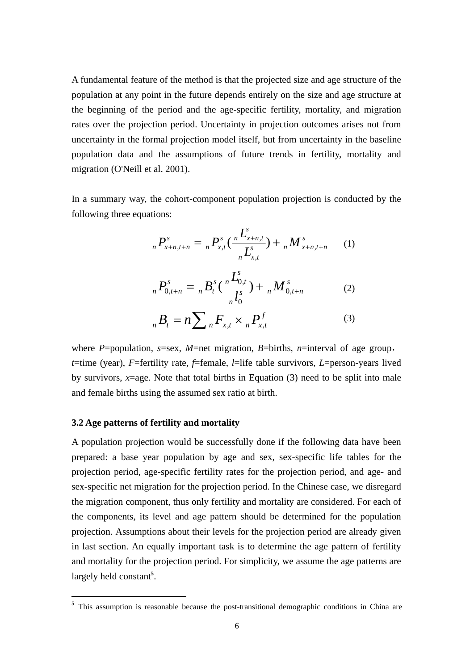A fundamental feature of the method is that the projected size and age structure of the population at any point in the future depends entirely on the size and age structure at the beginning of the period and the age-specific fertility, mortality, and migration rates over the projection period. Uncertainty in projection outcomes arises not from uncertainty in the formal projection model itself, but from uncertainty in the baseline population data and the assumptions of future trends in fertility, mortality and migration (O'Neill et al. 2001).

In a summary way, the cohort-component population projection is conducted by the following three equations:

$$
{}_{n}P_{x+n,t+n}^{s} = {}_{n}P_{x,t}^{s}(\frac{{}_{n}L_{x+n,t}^{s}}{{}_{n}L_{x,t}^{s}}) + {}_{n}M_{x+n,t+n}^{s} \qquad (1)
$$

$$
{}_{n}P_{0,t+n}^{s} = {}_{n}B_{t}^{s}(\frac{{}_{n}L_{0,t}^{s}}{I_{0}^{s}}) + {}_{n}M_{0,t+n}^{s}
$$
 (2)

$$
{}_{n}B_{t} = n \sum_{n} F_{x,t} \times {}_{n}P_{x,t}^{f} \tag{3}
$$

where *P*=population, *s*=sex, *M*=net migration, *B*=births, *n*=interval of age group, *t*=time (year), *F*=fertility rate, *f*=female, *l*=life table survivors, *L*=person-years lived by survivors,  $x = age$ . Note that total births in Equation (3) need to be split into male and female births using the assumed sex ratio at birth.

#### **3.2 Age patterns of fertility and mortality**

-

A population projection would be successfully done if the following data have been prepared: a base year population by age and sex, sex-specific life tables for the projection period, age-specific fertility rates for the projection period, and age- and sex-specific net migration for the projection period. In the Chinese case, we disregard the migration component, thus only fertility and mortality are considered. For each of the components, its level and age pattern should be determined for the population projection. Assumptions about their levels for the projection period are already given in last section. An equally important task is to determine the age pattern of fertility and mortality for the projection period. For simplicity, we assume the age patterns are largely held constant**<sup>5</sup>** .

<sup>&</sup>lt;sup>5</sup> This assumption is reasonable because the post-transitional demographic conditions in China are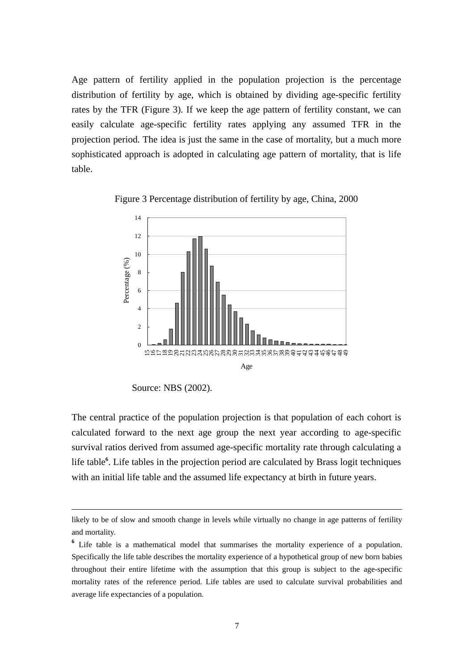Age pattern of fertility applied in the population projection is the percentage distribution of fertility by age, which is obtained by dividing age-specific fertility rates by the TFR (Figure 3). If we keep the age pattern of fertility constant, we can easily calculate age-specific fertility rates applying any assumed TFR in the projection period. The idea is just the same in the case of mortality, but a much more sophisticated approach is adopted in calculating age pattern of mortality, that is life table.



Figure 3 Percentage distribution of fertility by age, China, 2000

<u>.</u>

The central practice of the population projection is that population of each cohort is calculated forward to the next age group the next year according to age-specific survival ratios derived from assumed age-specific mortality rate through calculating a life table<sup>6</sup>. Life tables in the projection period are calculated by Brass logit techniques with an initial life table and the assumed life expectancy at birth in future years.

Source: NBS (2002).

likely to be of slow and smooth change in levels while virtually no change in age patterns of fertility and mortality.

**<sup>6</sup>** Life table is a mathematical model that summarises the mortality experience of a population. Specifically the life table describes the mortality experience of a hypothetical group of new born babies throughout their entire lifetime with the assumption that this group is subject to the age-specific mortality rates of the reference period. Life tables are used to calculate survival probabilities and average life expectancies of a population.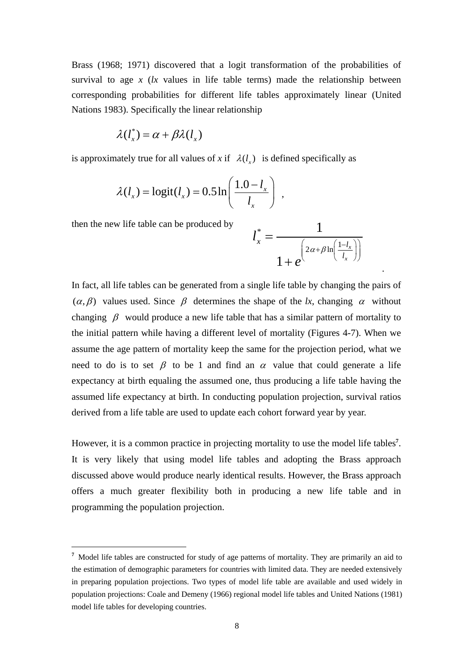Brass (1968; 1971) discovered that a logit transformation of the probabilities of survival to age  $x$  ( $lx$  values in life table terms) made the relationship between corresponding probabilities for different life tables approximately linear (United Nations 1983). Specifically the linear relationship

$$
\lambda(l_x^*) = \alpha + \beta \lambda(l_x)
$$

is approximately true for all values of *x* if  $\lambda(l_x)$  is defined specifically as

$$
\lambda(l_x) = \text{logit}(l_x) = 0.5 \ln\left(\frac{1.0 - l_x}{l_x}\right) ,
$$

then the new life table can be produced by

<u>.</u>

then the new life table can be produced by  
\n
$$
l_x^* = \frac{1}{1 + e^{\left(2\alpha + \beta \ln\left(\frac{1 - l_x}{l_x}\right)\right)}}
$$

In fact, all life tables can be generated from a single life table by changing the pairs of  $(\alpha, \beta)$  values used. Since  $\beta$  determines the shape of the *lx*, changing  $\alpha$  without changing  $\beta$  would produce a new life table that has a similar pattern of mortality to the initial pattern while having a different level of mortality (Figures 4-7). When we assume the age pattern of mortality keep the same for the projection period, what we need to do is to set  $\beta$  to be 1 and find an  $\alpha$  value that could generate a life expectancy at birth equaling the assumed one, thus producing a life table having the assumed life expectancy at birth. In conducting population projection, survival ratios derived from a life table are used to update each cohort forward year by year.

However, it is a common practice in projecting mortality to use the model life tables**<sup>7</sup>** . It is very likely that using model life tables and adopting the Brass approach discussed above would produce nearly identical results. However, the Brass approach offers a much greater flexibility both in producing a new life table and in programming the population projection.

<sup>&</sup>lt;sup>7</sup> Model life tables are constructed for study of age patterns of mortality. They are primarily an aid to the estimation of demographic parameters for countries with limited data. They are needed extensively in preparing population projections. Two types of model life table are available and used widely in population projections: Coale and Demeny (1966) regional model life tables and United Nations (1981) model life tables for developing countries.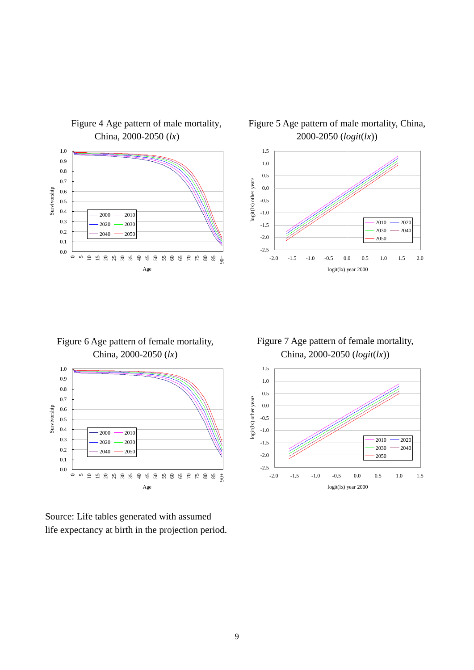

# Figure 4 Age pattern of male mortality, China, 2000-2050 (*lx*)

Figure 5 Age pattern of male mortality, China, 2000-2050 (*logit*(*lx*))



Figure 6 Age pattern of female mortality, China, 2000-2050 (*lx*)



Source: Life tables generated with assumed life expectancy at birth in the projection period.

Figure 7 Age pattern of female mortality, China, 2000-2050 (*logit*(*lx*))

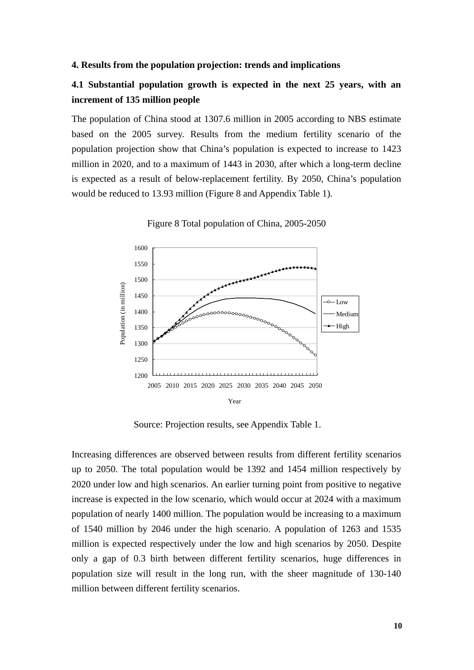#### **4. Results from the population projection: trends and implications**

#### **4.1 Substantial population growth is expected in the next 25 years, with an increment of 135 million people**

The population of China stood at 1307.6 million in 2005 according to NBS estimate based on the 2005 survey. Results from the medium fertility scenario of the population projection show that China's population is expected to increase to 1423 million in 2020, and to a maximum of 1443 in 2030, after which a long-term decline is expected as a result of below-replacement fertility. By 2050, China's population would be reduced to 13.93 million (Figure 8 and Appendix Table 1).

Figure 8 Total population of China, 2005-2050



Source: Projection results, see Appendix Table 1.

Increasing differences are observed between results from different fertility scenarios up to 2050. The total population would be 1392 and 1454 million respectively by 2020 under low and high scenarios. An earlier turning point from positive to negative increase is expected in the low scenario, which would occur at 2024 with a maximum population of nearly 1400 million. The population would be increasing to a maximum of 1540 million by 2046 under the high scenario. A population of 1263 and 1535 million is expected respectively under the low and high scenarios by 2050. Despite only a gap of 0.3 birth between different fertility scenarios, huge differences in population size will result in the long run, with the sheer magnitude of 130-140 million between different fertility scenarios.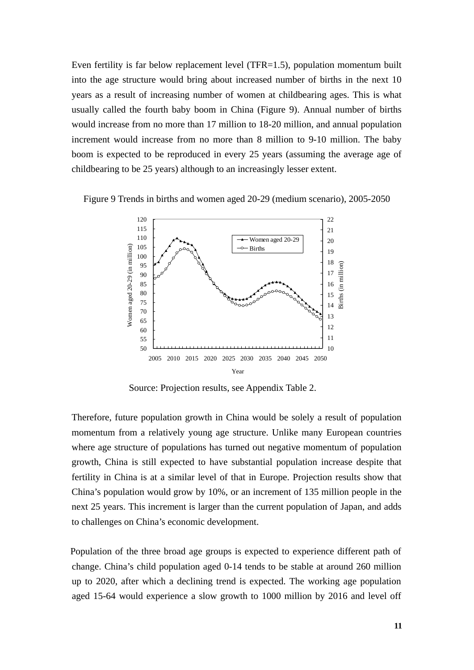Even fertility is far below replacement level (TFR=1.5), population momentum built into the age structure would bring about increased number of births in the next 10 years as a result of increasing number of women at childbearing ages. This is what usually called the fourth baby boom in China (Figure 9). Annual number of births would increase from no more than 17 million to 18-20 million, and annual population increment would increase from no more than 8 million to 9-10 million. The baby boom is expected to be reproduced in every 25 years (assuming the average age of childbearing to be 25 years) although to an increasingly lesser extent.

Figure 9 Trends in births and women aged 20-29 (medium scenario), 2005-2050



Source: Projection results, see Appendix Table 2.

Therefore, future population growth in China would be solely a result of population momentum from a relatively young age structure. Unlike many European countries where age structure of populations has turned out negative momentum of population growth, China is still expected to have substantial population increase despite that fertility in China is at a similar level of that in Europe. Projection results show that China's population would grow by 10%, or an increment of 135 million people in the next 25 years. This increment is larger than the current population of Japan, and adds to challenges on China's economic development.

Population of the three broad age groups is expected to experience different path of change. China's child population aged 0-14 tends to be stable at around 260 million up to 2020, after which a declining trend is expected. The working age population aged 15-64 would experience a slow growth to 1000 million by 2016 and level off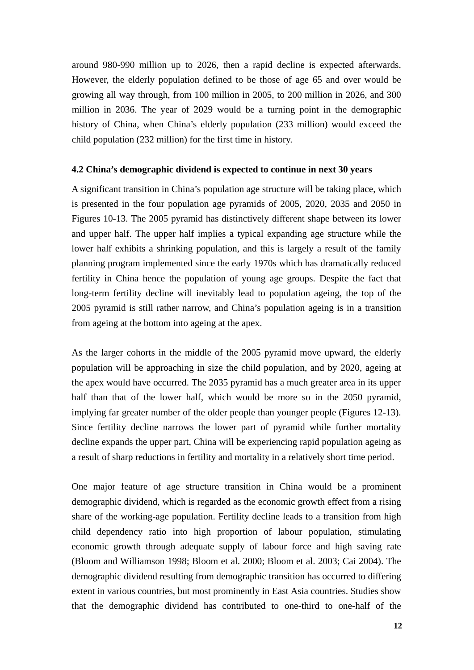around 980-990 million up to 2026, then a rapid decline is expected afterwards. However, the elderly population defined to be those of age 65 and over would be growing all way through, from 100 million in 2005, to 200 million in 2026, and 300 million in 2036. The year of 2029 would be a turning point in the demographic history of China, when China's elderly population (233 million) would exceed the child population (232 million) for the first time in history.

#### **4.2 China's demographic dividend is expected to continue in next 30 years**

A significant transition in China's population age structure will be taking place, which is presented in the four population age pyramids of 2005, 2020, 2035 and 2050 in Figures 10-13. The 2005 pyramid has distinctively different shape between its lower and upper half. The upper half implies a typical expanding age structure while the lower half exhibits a shrinking population, and this is largely a result of the family planning program implemented since the early 1970s which has dramatically reduced fertility in China hence the population of young age groups. Despite the fact that long-term fertility decline will inevitably lead to population ageing, the top of the 2005 pyramid is still rather narrow, and China's population ageing is in a transition from ageing at the bottom into ageing at the apex.

As the larger cohorts in the middle of the 2005 pyramid move upward, the elderly population will be approaching in size the child population, and by 2020, ageing at the apex would have occurred. The 2035 pyramid has a much greater area in its upper half than that of the lower half, which would be more so in the 2050 pyramid, implying far greater number of the older people than younger people (Figures 12-13). Since fertility decline narrows the lower part of pyramid while further mortality decline expands the upper part, China will be experiencing rapid population ageing as a result of sharp reductions in fertility and mortality in a relatively short time period.

One major feature of age structure transition in China would be a prominent demographic dividend, which is regarded as the economic growth effect from a rising share of the working-age population. Fertility decline leads to a transition from high child dependency ratio into high proportion of labour population, stimulating economic growth through adequate supply of labour force and high saving rate (Bloom and Williamson 1998; Bloom et al. 2000; Bloom et al. 2003; Cai 2004). The demographic dividend resulting from demographic transition has occurred to differing extent in various countries, but most prominently in East Asia countries. Studies show that the demographic dividend has contributed to one-third to one-half of the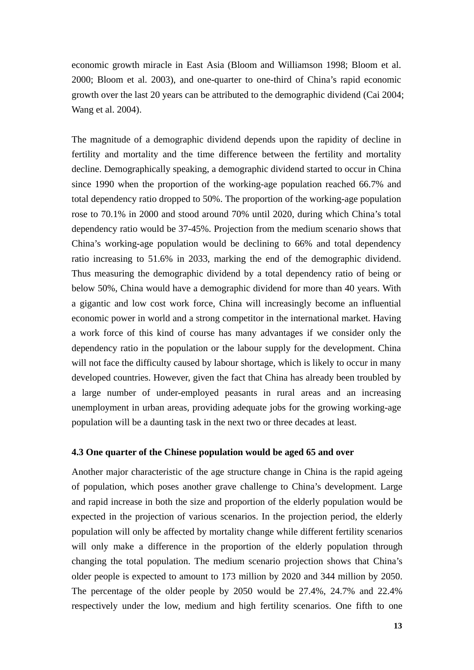economic growth miracle in East Asia (Bloom and Williamson 1998; Bloom et al. 2000; Bloom et al. 2003), and one-quarter to one-third of China's rapid economic growth over the last 20 years can be attributed to the demographic dividend (Cai 2004; Wang et al. 2004).

The magnitude of a demographic dividend depends upon the rapidity of decline in fertility and mortality and the time difference between the fertility and mortality decline. Demographically speaking, a demographic dividend started to occur in China since 1990 when the proportion of the working-age population reached 66.7% and total dependency ratio dropped to 50%. The proportion of the working-age population rose to 70.1% in 2000 and stood around 70% until 2020, during which China's total dependency ratio would be 37-45%. Projection from the medium scenario shows that China's working-age population would be declining to 66% and total dependency ratio increasing to 51.6% in 2033, marking the end of the demographic dividend. Thus measuring the demographic dividend by a total dependency ratio of being or below 50%, China would have a demographic dividend for more than 40 years. With a gigantic and low cost work force, China will increasingly become an influential economic power in world and a strong competitor in the international market. Having a work force of this kind of course has many advantages if we consider only the dependency ratio in the population or the labour supply for the development. China will not face the difficulty caused by labour shortage, which is likely to occur in many developed countries. However, given the fact that China has already been troubled by a large number of under-employed peasants in rural areas and an increasing unemployment in urban areas, providing adequate jobs for the growing working-age population will be a daunting task in the next two or three decades at least.

#### **4.3 One quarter of the Chinese population would be aged 65 and over**

Another major characteristic of the age structure change in China is the rapid ageing of population, which poses another grave challenge to China's development. Large and rapid increase in both the size and proportion of the elderly population would be expected in the projection of various scenarios. In the projection period, the elderly population will only be affected by mortality change while different fertility scenarios will only make a difference in the proportion of the elderly population through changing the total population. The medium scenario projection shows that China's older people is expected to amount to 173 million by 2020 and 344 million by 2050. The percentage of the older people by 2050 would be 27.4%, 24.7% and 22.4% respectively under the low, medium and high fertility scenarios. One fifth to one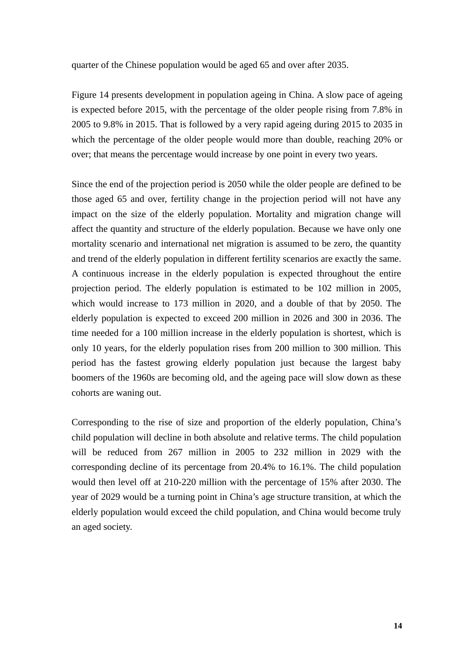quarter of the Chinese population would be aged 65 and over after 2035.

Figure 14 presents development in population ageing in China. A slow pace of ageing is expected before 2015, with the percentage of the older people rising from 7.8% in 2005 to 9.8% in 2015. That is followed by a very rapid ageing during 2015 to 2035 in which the percentage of the older people would more than double, reaching 20% or over; that means the percentage would increase by one point in every two years.

Since the end of the projection period is 2050 while the older people are defined to be those aged 65 and over, fertility change in the projection period will not have any impact on the size of the elderly population. Mortality and migration change will affect the quantity and structure of the elderly population. Because we have only one mortality scenario and international net migration is assumed to be zero, the quantity and trend of the elderly population in different fertility scenarios are exactly the same. A continuous increase in the elderly population is expected throughout the entire projection period. The elderly population is estimated to be 102 million in 2005, which would increase to 173 million in 2020, and a double of that by 2050. The elderly population is expected to exceed 200 million in 2026 and 300 in 2036. The time needed for a 100 million increase in the elderly population is shortest, which is only 10 years, for the elderly population rises from 200 million to 300 million. This period has the fastest growing elderly population just because the largest baby boomers of the 1960s are becoming old, and the ageing pace will slow down as these cohorts are waning out.

Corresponding to the rise of size and proportion of the elderly population, China's child population will decline in both absolute and relative terms. The child population will be reduced from 267 million in 2005 to 232 million in 2029 with the corresponding decline of its percentage from 20.4% to 16.1%. The child population would then level off at 210-220 million with the percentage of 15% after 2030. The year of 2029 would be a turning point in China's age structure transition, at which the elderly population would exceed the child population, and China would become truly an aged society.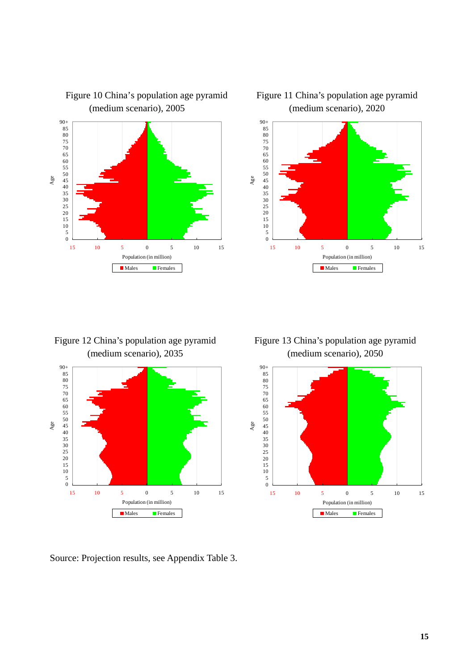

#### Figure 10 China's population age pyramid (medium scenario), 2005

Figure 11 China's population age pyramid (medium scenario), 2020



Figure 12 China's population age pyramid (medium scenario), 2035



Source: Projection results, see Appendix Table 3.

Figure 13 China's population age pyramid (medium scenario), 2050

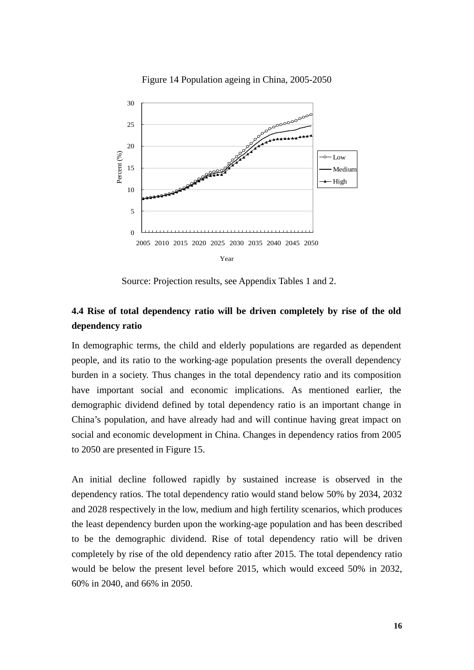

Figure 14 Population ageing in China, 2005-2050

Source: Projection results, see Appendix Tables 1 and 2.

# **4.4 Rise of total dependency ratio will be driven completely by rise of the old dependency ratio**

In demographic terms, the child and elderly populations are regarded as dependent people, and its ratio to the working-age population presents the overall dependency burden in a society. Thus changes in the total dependency ratio and its composition have important social and economic implications. As mentioned earlier, the demographic dividend defined by total dependency ratio is an important change in China's population, and have already had and will continue having great impact on social and economic development in China. Changes in dependency ratios from 2005 to 2050 are presented in Figure 15.

An initial decline followed rapidly by sustained increase is observed in the dependency ratios. The total dependency ratio would stand below 50% by 2034, 2032 and 2028 respectively in the low, medium and high fertility scenarios, which produces the least dependency burden upon the working-age population and has been described to be the demographic dividend. Rise of total dependency ratio will be driven completely by rise of the old dependency ratio after 2015. The total dependency ratio would be below the present level before 2015, which would exceed 50% in 2032, 60% in 2040, and 66% in 2050.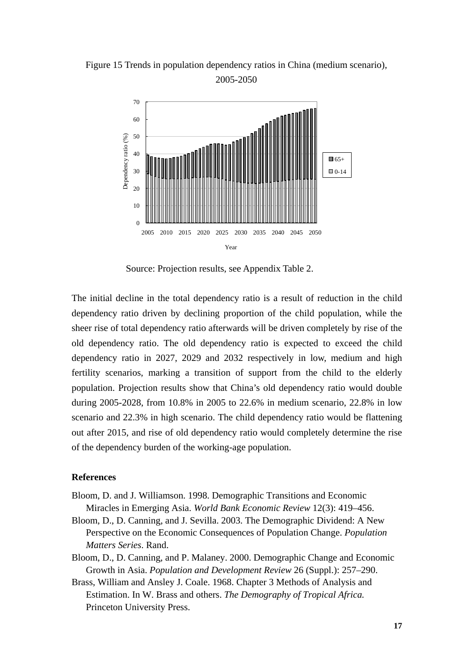Figure 15 Trends in population dependency ratios in China (medium scenario), 2005-2050



Source: Projection results, see Appendix Table 2.

The initial decline in the total dependency ratio is a result of reduction in the child dependency ratio driven by declining proportion of the child population, while the sheer rise of total dependency ratio afterwards will be driven completely by rise of the old dependency ratio. The old dependency ratio is expected to exceed the child dependency ratio in 2027, 2029 and 2032 respectively in low, medium and high fertility scenarios, marking a transition of support from the child to the elderly population. Projection results show that China's old dependency ratio would double during 2005-2028, from 10.8% in 2005 to 22.6% in medium scenario, 22.8% in low scenario and 22.3% in high scenario. The child dependency ratio would be flattening out after 2015, and rise of old dependency ratio would completely determine the rise of the dependency burden of the working-age population.

#### **References**

- Bloom, D. and J. Williamson. 1998. Demographic Transitions and Economic Miracles in Emerging Asia. *World Bank Economic Review* 12(3): 419–456.
- Bloom, D., D. Canning, and J. Sevilla. 2003. The Demographic Dividend: A New Perspective on the Economic Consequences of Population Change. *Population Matters Series*. Rand.
- Bloom, D., D. Canning, and P. Malaney. 2000. Demographic Change and Economic Growth in Asia. *Population and Development Review* 26 (Suppl.): 257–290.
- Brass, William and Ansley J. Coale. 1968. Chapter 3 Methods of Analysis and Estimation. In W. Brass and others. *The Demography of Tropical Africa.*  Princeton University Press.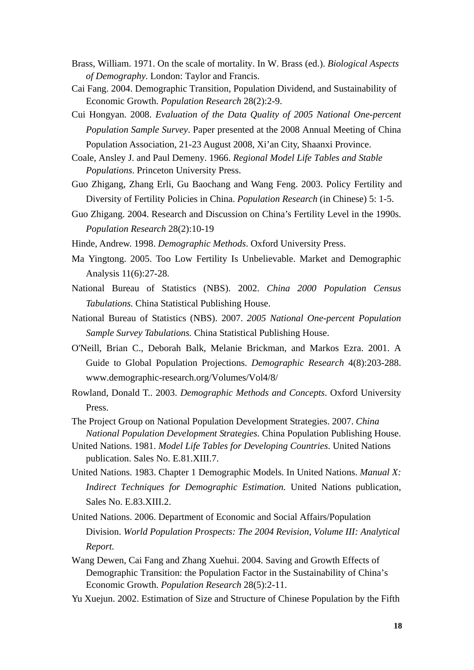- Brass, William. 1971. On the scale of mortality. In W. Brass (ed.). *Biological Aspects of Demography.* London: Taylor and Francis.
- Cai Fang. 2004. Demographic Transition, Population Dividend, and Sustainability of Economic Growth. *Population Research* 28(2):2-9.
- Cui Hongyan. 2008. *Evaluation of the Data Quality of 2005 National One-percent Population Sample Survey*. Paper presented at the 2008 Annual Meeting of China Population Association, 21-23 August 2008, Xi'an City, Shaanxi Province.

Coale, Ansley J. and Paul Demeny. 1966. *Regional Model Life Tables and Stable Populations*. Princeton University Press.

- Guo Zhigang, Zhang Erli, Gu Baochang and Wang Feng. 2003. Policy Fertility and Diversity of Fertility Policies in China. *Population Research* (in Chinese) 5: 1-5.
- Guo Zhigang. 2004. Research and Discussion on China's Fertility Level in the 1990s. *Population Research* 28(2):10-19
- Hinde, Andrew. 1998. *Demographic Methods*. Oxford University Press.
- Ma Yingtong. 2005. Too Low Fertility Is Unbelievable. Market and Demographic Analysis 11(6):27-28.
- National Bureau of Statistics (NBS). 2002. *China 2000 Population Census Tabulations.* China Statistical Publishing House.
- National Bureau of Statistics (NBS). 2007. *2005 National One-percent Population Sample Survey Tabulations.* China Statistical Publishing House.
- O'Neill, Brian C., Deborah Balk, Melanie Brickman, and Markos Ezra. 2001. A Guide to Global Population Projections. *Demographic Research* 4(8):203-288. www.demographic-research.org/Volumes/Vol4/8/
- Rowland, Donald T.. 2003. *Demographic Methods and Concepts*. Oxford University Press.
- The Project Group on National Population Development Strategies. 2007. *China National Population Development Strategies.* China Population Publishing House.
- United Nations. 1981. *Model Life Tables for Developing Countries*. United Nations publication. Sales No. E.81.XIII.7.
- United Nations. 1983. Chapter 1 Demographic Models. In United Nations. *Manual X: Indirect Techniques for Demographic Estimation.* United Nations publication, Sales No. E.83.XIII.2.
- United Nations. 2006. Department of Economic and Social Affairs/Population Division. *World Population Prospects: The 2004 Revision, Volume III: Analytical Report.*
- Wang Dewen, Cai Fang and Zhang Xuehui. 2004. Saving and Growth Effects of Demographic Transition: the Population Factor in the Sustainability of China's Economic Growth. *Population Research* 28(5):2-11.
- Yu Xuejun. 2002. Estimation of Size and Structure of Chinese Population by the Fifth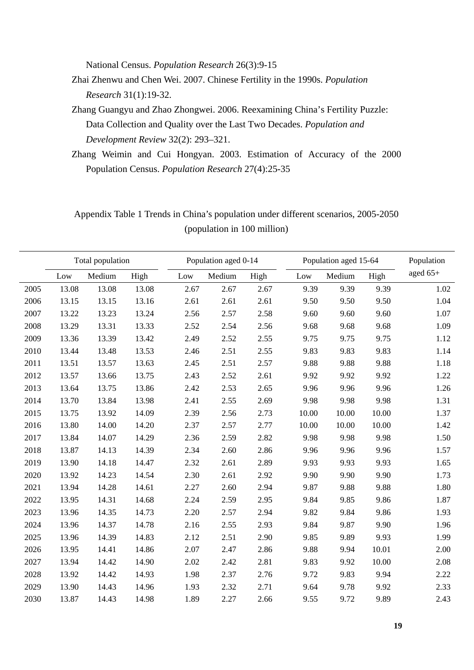National Census. *Population Research* 26(3):9-15

- Zhai Zhenwu and Chen Wei. 2007. Chinese Fertility in the 1990s. *Population Research* 31(1):19-32.
- Zhang Guangyu and Zhao Zhongwei. 2006. Reexamining China's Fertility Puzzle: Data Collection and Quality over the Last Two Decades. *Population and Development Review* 32(2): 293–321.
- Zhang Weimin and Cui Hongyan. 2003. Estimation of Accuracy of the 2000 Population Census. *Population Research* 27(4):25-35

# Appendix Table 1 Trends in China's population under different scenarios, 2005-2050 (population in 100 million)

|      | Total population |        |       |      | Population aged 0-14 |      |       | Population aged 15-64 |       |            |  |
|------|------------------|--------|-------|------|----------------------|------|-------|-----------------------|-------|------------|--|
|      | Low              | Medium | High  | Low  | Medium               | High | Low   | Medium                | High  | aged $65+$ |  |
| 2005 | 13.08            | 13.08  | 13.08 | 2.67 | 2.67                 | 2.67 | 9.39  | 9.39                  | 9.39  | 1.02       |  |
| 2006 | 13.15            | 13.15  | 13.16 | 2.61 | 2.61                 | 2.61 | 9.50  | 9.50                  | 9.50  | 1.04       |  |
| 2007 | 13.22            | 13.23  | 13.24 | 2.56 | 2.57                 | 2.58 | 9.60  | 9.60                  | 9.60  | 1.07       |  |
| 2008 | 13.29            | 13.31  | 13.33 | 2.52 | 2.54                 | 2.56 | 9.68  | 9.68                  | 9.68  | 1.09       |  |
| 2009 | 13.36            | 13.39  | 13.42 | 2.49 | 2.52                 | 2.55 | 9.75  | 9.75                  | 9.75  | 1.12       |  |
| 2010 | 13.44            | 13.48  | 13.53 | 2.46 | 2.51                 | 2.55 | 9.83  | 9.83                  | 9.83  | 1.14       |  |
| 2011 | 13.51            | 13.57  | 13.63 | 2.45 | 2.51                 | 2.57 | 9.88  | 9.88                  | 9.88  | 1.18       |  |
| 2012 | 13.57            | 13.66  | 13.75 | 2.43 | 2.52                 | 2.61 | 9.92  | 9.92                  | 9.92  | 1.22       |  |
| 2013 | 13.64            | 13.75  | 13.86 | 2.42 | 2.53                 | 2.65 | 9.96  | 9.96                  | 9.96  | 1.26       |  |
| 2014 | 13.70            | 13.84  | 13.98 | 2.41 | 2.55                 | 2.69 | 9.98  | 9.98                  | 9.98  | 1.31       |  |
| 2015 | 13.75            | 13.92  | 14.09 | 2.39 | 2.56                 | 2.73 | 10.00 | 10.00                 | 10.00 | 1.37       |  |
| 2016 | 13.80            | 14.00  | 14.20 | 2.37 | 2.57                 | 2.77 | 10.00 | 10.00                 | 10.00 | 1.42       |  |
| 2017 | 13.84            | 14.07  | 14.29 | 2.36 | 2.59                 | 2.82 | 9.98  | 9.98                  | 9.98  | 1.50       |  |
| 2018 | 13.87            | 14.13  | 14.39 | 2.34 | 2.60                 | 2.86 | 9.96  | 9.96                  | 9.96  | 1.57       |  |
| 2019 | 13.90            | 14.18  | 14.47 | 2.32 | 2.61                 | 2.89 | 9.93  | 9.93                  | 9.93  | 1.65       |  |
| 2020 | 13.92            | 14.23  | 14.54 | 2.30 | 2.61                 | 2.92 | 9.90  | 9.90                  | 9.90  | 1.73       |  |
| 2021 | 13.94            | 14.28  | 14.61 | 2.27 | 2.60                 | 2.94 | 9.87  | 9.88                  | 9.88  | 1.80       |  |
| 2022 | 13.95            | 14.31  | 14.68 | 2.24 | 2.59                 | 2.95 | 9.84  | 9.85                  | 9.86  | 1.87       |  |
| 2023 | 13.96            | 14.35  | 14.73 | 2.20 | 2.57                 | 2.94 | 9.82  | 9.84                  | 9.86  | 1.93       |  |
| 2024 | 13.96            | 14.37  | 14.78 | 2.16 | 2.55                 | 2.93 | 9.84  | 9.87                  | 9.90  | 1.96       |  |
| 2025 | 13.96            | 14.39  | 14.83 | 2.12 | 2.51                 | 2.90 | 9.85  | 9.89                  | 9.93  | 1.99       |  |
| 2026 | 13.95            | 14.41  | 14.86 | 2.07 | 2.47                 | 2.86 | 9.88  | 9.94                  | 10.01 | 2.00       |  |
| 2027 | 13.94            | 14.42  | 14.90 | 2.02 | 2.42                 | 2.81 | 9.83  | 9.92                  | 10.00 | 2.08       |  |
| 2028 | 13.92            | 14.42  | 14.93 | 1.98 | 2.37                 | 2.76 | 9.72  | 9.83                  | 9.94  | 2.22       |  |
| 2029 | 13.90            | 14.43  | 14.96 | 1.93 | 2.32                 | 2.71 | 9.64  | 9.78                  | 9.92  | 2.33       |  |
| 2030 | 13.87            | 14.43  | 14.98 | 1.89 | 2.27                 | 2.66 | 9.55  | 9.72                  | 9.89  | 2.43       |  |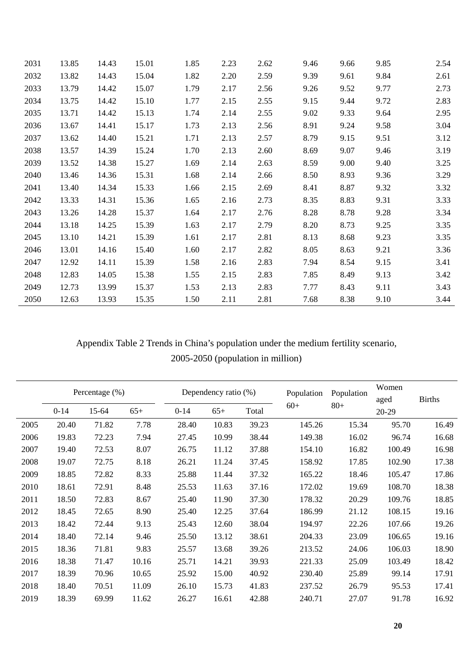| 2031 | 13.85 | 14.43 | 15.01 | 1.85 | 2.23 | 2.62 | 9.46 | 9.66 | 9.85 | 2.54 |
|------|-------|-------|-------|------|------|------|------|------|------|------|
| 2032 | 13.82 | 14.43 | 15.04 | 1.82 | 2.20 | 2.59 | 9.39 | 9.61 | 9.84 | 2.61 |
| 2033 | 13.79 | 14.42 | 15.07 | 1.79 | 2.17 | 2.56 | 9.26 | 9.52 | 9.77 | 2.73 |
| 2034 | 13.75 | 14.42 | 15.10 | 1.77 | 2.15 | 2.55 | 9.15 | 9.44 | 9.72 | 2.83 |
| 2035 | 13.71 | 14.42 | 15.13 | 1.74 | 2.14 | 2.55 | 9.02 | 9.33 | 9.64 | 2.95 |
| 2036 | 13.67 | 14.41 | 15.17 | 1.73 | 2.13 | 2.56 | 8.91 | 9.24 | 9.58 | 3.04 |
| 2037 | 13.62 | 14.40 | 15.21 | 1.71 | 2.13 | 2.57 | 8.79 | 9.15 | 9.51 | 3.12 |
| 2038 | 13.57 | 14.39 | 15.24 | 1.70 | 2.13 | 2.60 | 8.69 | 9.07 | 9.46 | 3.19 |
| 2039 | 13.52 | 14.38 | 15.27 | 1.69 | 2.14 | 2.63 | 8.59 | 9.00 | 9.40 | 3.25 |
| 2040 | 13.46 | 14.36 | 15.31 | 1.68 | 2.14 | 2.66 | 8.50 | 8.93 | 9.36 | 3.29 |
| 2041 | 13.40 | 14.34 | 15.33 | 1.66 | 2.15 | 2.69 | 8.41 | 8.87 | 9.32 | 3.32 |
| 2042 | 13.33 | 14.31 | 15.36 | 1.65 | 2.16 | 2.73 | 8.35 | 8.83 | 9.31 | 3.33 |
| 2043 | 13.26 | 14.28 | 15.37 | 1.64 | 2.17 | 2.76 | 8.28 | 8.78 | 9.28 | 3.34 |
| 2044 | 13.18 | 14.25 | 15.39 | 1.63 | 2.17 | 2.79 | 8.20 | 8.73 | 9.25 | 3.35 |
| 2045 | 13.10 | 14.21 | 15.39 | 1.61 | 2.17 | 2.81 | 8.13 | 8.68 | 9.23 | 3.35 |
| 2046 | 13.01 | 14.16 | 15.40 | 1.60 | 2.17 | 2.82 | 8.05 | 8.63 | 9.21 | 3.36 |
| 2047 | 12.92 | 14.11 | 15.39 | 1.58 | 2.16 | 2.83 | 7.94 | 8.54 | 9.15 | 3.41 |
| 2048 | 12.83 | 14.05 | 15.38 | 1.55 | 2.15 | 2.83 | 7.85 | 8.49 | 9.13 | 3.42 |
| 2049 | 12.73 | 13.99 | 15.37 | 1.53 | 2.13 | 2.83 | 7.77 | 8.43 | 9.11 | 3.43 |
| 2050 | 12.63 | 13.93 | 15.35 | 1.50 | 2.11 | 2.81 | 7.68 | 8.38 | 9.10 | 3.44 |

# Appendix Table 2 Trends in China's population under the medium fertility scenario, 2005-2050 (population in million)

|      |        | Percentage $(\%)$ |       |          | Dependency ratio (%) |       |            |            | Women  |               |  |
|------|--------|-------------------|-------|----------|----------------------|-------|------------|------------|--------|---------------|--|
|      |        |                   |       |          |                      |       | Population | Population | aged   | <b>Births</b> |  |
|      | $0-14$ | 15-64             | $65+$ | $0 - 14$ | $65+$                | Total | $60+$      | $80+$      | 20-29  |               |  |
| 2005 | 20.40  | 71.82             | 7.78  | 28.40    | 10.83                | 39.23 | 145.26     | 15.34      | 95.70  | 16.49         |  |
| 2006 | 19.83  | 72.23             | 7.94  | 27.45    | 10.99                | 38.44 | 149.38     | 16.02      | 96.74  | 16.68         |  |
| 2007 | 19.40  | 72.53             | 8.07  | 26.75    | 11.12                | 37.88 | 154.10     | 16.82      | 100.49 | 16.98         |  |
| 2008 | 19.07  | 72.75             | 8.18  | 26.21    | 11.24                | 37.45 | 158.92     | 17.85      | 102.90 | 17.38         |  |
| 2009 | 18.85  | 72.82             | 8.33  | 25.88    | 11.44                | 37.32 | 165.22     | 18.46      | 105.47 | 17.86         |  |
| 2010 | 18.61  | 72.91             | 8.48  | 25.53    | 11.63                | 37.16 | 172.02     | 19.69      | 108.70 | 18.38         |  |
| 2011 | 18.50  | 72.83             | 8.67  | 25.40    | 11.90                | 37.30 | 178.32     | 20.29      | 109.76 | 18.85         |  |
| 2012 | 18.45  | 72.65             | 8.90  | 25.40    | 12.25                | 37.64 | 186.99     | 21.12      | 108.15 | 19.16         |  |
| 2013 | 18.42  | 72.44             | 9.13  | 25.43    | 12.60                | 38.04 | 194.97     | 22.26      | 107.66 | 19.26         |  |
| 2014 | 18.40  | 72.14             | 9.46  | 25.50    | 13.12                | 38.61 | 204.33     | 23.09      | 106.65 | 19.16         |  |
| 2015 | 18.36  | 71.81             | 9.83  | 25.57    | 13.68                | 39.26 | 213.52     | 24.06      | 106.03 | 18.90         |  |
| 2016 | 18.38  | 71.47             | 10.16 | 25.71    | 14.21                | 39.93 | 221.33     | 25.09      | 103.49 | 18.42         |  |
| 2017 | 18.39  | 70.96             | 10.65 | 25.92    | 15.00                | 40.92 | 230.40     | 25.89      | 99.14  | 17.91         |  |
| 2018 | 18.40  | 70.51             | 11.09 | 26.10    | 15.73                | 41.83 | 237.52     | 26.79      | 95.53  | 17.41         |  |
| 2019 | 18.39  | 69.99             | 11.62 | 26.27    | 16.61                | 42.88 | 240.71     | 27.07      | 91.78  | 16.92         |  |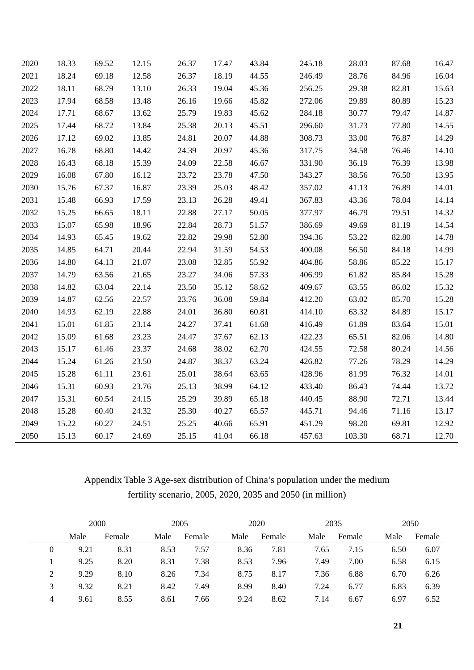| 2020 | 18.33 | 69.52 | 12.15 | 26.37 | 17.47 | 43.84 | 245.18 | 28.03  | 87.68 | 16.47 |
|------|-------|-------|-------|-------|-------|-------|--------|--------|-------|-------|
| 2021 | 18.24 | 69.18 | 12.58 | 26.37 | 18.19 | 44.55 | 246.49 | 28.76  | 84.96 | 16.04 |
| 2022 | 18.11 | 68.79 | 13.10 | 26.33 | 19.04 | 45.36 | 256.25 | 29.38  | 82.81 | 15.63 |
| 2023 | 17.94 | 68.58 | 13.48 | 26.16 | 19.66 | 45.82 | 272.06 | 29.89  | 80.89 | 15.23 |
| 2024 | 17.71 | 68.67 | 13.62 | 25.79 | 19.83 | 45.62 | 284.18 | 30.77  | 79.47 | 14.87 |
| 2025 | 17.44 | 68.72 | 13.84 | 25.38 | 20.13 | 45.51 | 296.60 | 31.73  | 77.80 | 14.55 |
| 2026 | 17.12 | 69.02 | 13.85 | 24.81 | 20.07 | 44.88 | 308.73 | 33.00  | 76.87 | 14.29 |
| 2027 | 16.78 | 68.80 | 14.42 | 24.39 | 20.97 | 45.36 | 317.75 | 34.58  | 76.46 | 14.10 |
| 2028 | 16.43 | 68.18 | 15.39 | 24.09 | 22.58 | 46.67 | 331.90 | 36.19  | 76.39 | 13.98 |
| 2029 | 16.08 | 67.80 | 16.12 | 23.72 | 23.78 | 47.50 | 343.27 | 38.56  | 76.50 | 13.95 |
| 2030 | 15.76 | 67.37 | 16.87 | 23.39 | 25.03 | 48.42 | 357.02 | 41.13  | 76.89 | 14.01 |
| 2031 | 15.48 | 66.93 | 17.59 | 23.13 | 26.28 | 49.41 | 367.83 | 43.36  | 78.04 | 14.14 |
| 2032 | 15.25 | 66.65 | 18.11 | 22.88 | 27.17 | 50.05 | 377.97 | 46.79  | 79.51 | 14.32 |
| 2033 | 15.07 | 65.98 | 18.96 | 22.84 | 28.73 | 51.57 | 386.69 | 49.69  | 81.19 | 14.54 |
| 2034 | 14.93 | 65.45 | 19.62 | 22.82 | 29.98 | 52.80 | 394.36 | 53.22  | 82.80 | 14.78 |
| 2035 | 14.85 | 64.71 | 20.44 | 22.94 | 31.59 | 54.53 | 400.08 | 56.50  | 84.18 | 14.99 |
| 2036 | 14.80 | 64.13 | 21.07 | 23.08 | 32.85 | 55.92 | 404.86 | 58.86  | 85.22 | 15.17 |
| 2037 | 14.79 | 63.56 | 21.65 | 23.27 | 34.06 | 57.33 | 406.99 | 61.82  | 85.84 | 15.28 |
| 2038 | 14.82 | 63.04 | 22.14 | 23.50 | 35.12 | 58.62 | 409.67 | 63.55  | 86.02 | 15.32 |
| 2039 | 14.87 | 62.56 | 22.57 | 23.76 | 36.08 | 59.84 | 412.20 | 63.02  | 85.70 | 15.28 |
| 2040 | 14.93 | 62.19 | 22.88 | 24.01 | 36.80 | 60.81 | 414.10 | 63.32  | 84.89 | 15.17 |
| 2041 | 15.01 | 61.85 | 23.14 | 24.27 | 37.41 | 61.68 | 416.49 | 61.89  | 83.64 | 15.01 |
| 2042 | 15.09 | 61.68 | 23.23 | 24.47 | 37.67 | 62.13 | 422.23 | 65.51  | 82.06 | 14.80 |
| 2043 | 15.17 | 61.46 | 23.37 | 24.68 | 38.02 | 62.70 | 424.55 | 72.58  | 80.24 | 14.56 |
| 2044 | 15.24 | 61.26 | 23.50 | 24.87 | 38.37 | 63.24 | 426.82 | 77.26  | 78.29 | 14.29 |
| 2045 | 15.28 | 61.11 | 23.61 | 25.01 | 38.64 | 63.65 | 428.96 | 81.99  | 76.32 | 14.01 |
| 2046 | 15.31 | 60.93 | 23.76 | 25.13 | 38.99 | 64.12 | 433.40 | 86.43  | 74.44 | 13.72 |
| 2047 | 15.31 | 60.54 | 24.15 | 25.29 | 39.89 | 65.18 | 440.45 | 88.90  | 72.71 | 13.44 |
| 2048 | 15.28 | 60.40 | 24.32 | 25.30 | 40.27 | 65.57 | 445.71 | 94.46  | 71.16 | 13.17 |
| 2049 | 15.22 | 60.27 | 24.51 | 25.25 | 40.66 | 65.91 | 451.29 | 98.20  | 69.81 | 12.92 |
| 2050 | 15.13 | 60.17 | 24.69 | 25.15 | 41.04 | 66.18 | 457.63 | 103.30 | 68.71 | 12.70 |

# Appendix Table 3 Age-sex distribution of China's population under the medium fertility scenario, 2005, 2020, 2035 and 2050 (in million)

|   | 2000 |        | 2005 |        | 2020 |        |      | 2035   |      | 2050   |  |
|---|------|--------|------|--------|------|--------|------|--------|------|--------|--|
|   | Male | Female | Male | Female | Male | Female | Male | Female | Male | Female |  |
| 0 | 9.21 | 8.31   | 8.53 | 7.57   | 8.36 | 7.81   | 7.65 | 7.15   | 6.50 | 6.07   |  |
|   | 9.25 | 8.20   | 8.31 | 7.38   | 8.53 | 7.96   | 7.49 | 7.00   | 6.58 | 6.15   |  |
| 2 | 9.29 | 8.10   | 8.26 | 7.34   | 8.75 | 8.17   | 7.36 | 6.88   | 6.70 | 6.26   |  |
| 3 | 9.32 | 8.21   | 8.42 | 7.49   | 8.99 | 8.40   | 7.24 | 6.77   | 6.83 | 6.39   |  |
| 4 | 9.61 | 8.55   | 8.61 | 7.66   | 9.24 | 8.62   | 7.14 | 6.67   | 6.97 | 6.52   |  |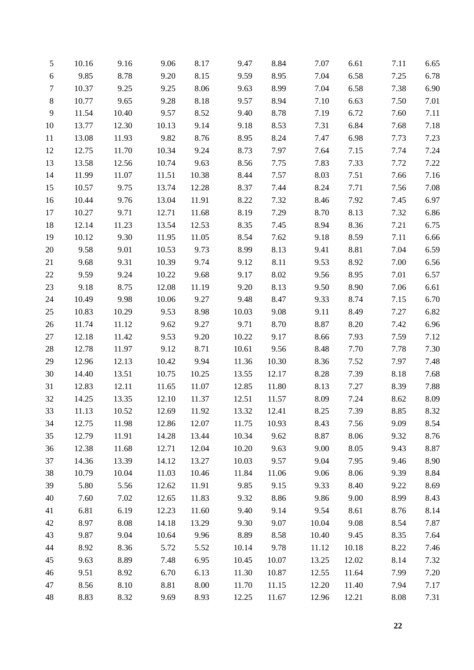| 5              | 10.16 | 9.16  | 9.06  | 8.17  | 9.47  | 8.84  | 7.07  | 6.61  | 7.11 | 6.65 |
|----------------|-------|-------|-------|-------|-------|-------|-------|-------|------|------|
| $6\,$          | 9.85  | 8.78  | 9.20  | 8.15  | 9.59  | 8.95  | 7.04  | 6.58  | 7.25 | 6.78 |
| $\tau$         | 10.37 | 9.25  | 9.25  | 8.06  | 9.63  | 8.99  | 7.04  | 6.58  | 7.38 | 6.90 |
| $8\,$          | 10.77 | 9.65  | 9.28  | 8.18  | 9.57  | 8.94  | 7.10  | 6.63  | 7.50 | 7.01 |
| $\overline{9}$ | 11.54 | 10.40 | 9.57  | 8.52  | 9.40  | 8.78  | 7.19  | 6.72  | 7.60 | 7.11 |
| 10             | 13.77 | 12.30 | 10.13 | 9.14  | 9.18  | 8.53  | 7.31  | 6.84  | 7.68 | 7.18 |
| 11             | 13.08 | 11.93 | 9.82  | 8.76  | 8.95  | 8.24  | 7.47  | 6.98  | 7.73 | 7.23 |
| 12             | 12.75 | 11.70 | 10.34 | 9.24  | 8.73  | 7.97  | 7.64  | 7.15  | 7.74 | 7.24 |
| 13             | 13.58 | 12.56 | 10.74 | 9.63  | 8.56  | 7.75  | 7.83  | 7.33  | 7.72 | 7.22 |
| 14             | 11.99 | 11.07 | 11.51 | 10.38 | 8.44  | 7.57  | 8.03  | 7.51  | 7.66 | 7.16 |
| 15             | 10.57 | 9.75  | 13.74 | 12.28 | 8.37  | 7.44  | 8.24  | 7.71  | 7.56 | 7.08 |
| 16             | 10.44 | 9.76  | 13.04 | 11.91 | 8.22  | 7.32  | 8.46  | 7.92  | 7.45 | 6.97 |
| 17             | 10.27 | 9.71  | 12.71 | 11.68 | 8.19  | 7.29  | 8.70  | 8.13  | 7.32 | 6.86 |
| 18             | 12.14 | 11.23 | 13.54 | 12.53 | 8.35  | 7.45  | 8.94  | 8.36  | 7.21 | 6.75 |
| 19             | 10.12 | 9.30  | 11.95 | 11.05 | 8.54  | 7.62  | 9.18  | 8.59  | 7.11 | 6.66 |
| 20             | 9.58  | 9.01  | 10.53 | 9.73  | 8.99  | 8.13  | 9.41  | 8.81  | 7.04 | 6.59 |
| 21             | 9.68  | 9.31  | 10.39 | 9.74  | 9.12  | 8.11  | 9.53  | 8.92  | 7.00 | 6.56 |
| 22             | 9.59  | 9.24  | 10.22 | 9.68  | 9.17  | 8.02  | 9.56  | 8.95  | 7.01 | 6.57 |
| 23             | 9.18  | 8.75  | 12.08 | 11.19 | 9.20  | 8.13  | 9.50  | 8.90  | 7.06 | 6.61 |
| 24             | 10.49 | 9.98  | 10.06 | 9.27  | 9.48  | 8.47  | 9.33  | 8.74  | 7.15 | 6.70 |
| 25             | 10.83 | 10.29 | 9.53  | 8.98  | 10.03 | 9.08  | 9.11  | 8.49  | 7.27 | 6.82 |
| 26             | 11.74 | 11.12 | 9.62  | 9.27  | 9.71  | 8.70  | 8.87  | 8.20  | 7.42 | 6.96 |
| 27             | 12.18 | 11.42 | 9.53  | 9.20  | 10.22 | 9.17  | 8.66  | 7.93  | 7.59 | 7.12 |
| 28             | 12.78 | 11.97 | 9.12  | 8.71  | 10.61 | 9.56  | 8.48  | 7.70  | 7.78 | 7.30 |
| 29             | 12.96 | 12.13 | 10.42 | 9.94  | 11.36 | 10.30 | 8.36  | 7.52  | 7.97 | 7.48 |
| 30             | 14.40 | 13.51 | 10.75 | 10.25 | 13.55 | 12.17 | 8.28  | 7.39  | 8.18 | 7.68 |
| 31             | 12.83 | 12.11 | 11.65 | 11.07 | 12.85 | 11.80 | 8.13  | 7.27  | 8.39 | 7.88 |
| 32             | 14.25 | 13.35 | 12.10 | 11.37 | 12.51 | 11.57 | 8.09  | 7.24  | 8.62 | 8.09 |
| 33             | 11.13 | 10.52 | 12.69 | 11.92 | 13.32 | 12.41 | 8.25  | 7.39  | 8.85 | 8.32 |
| 34             | 12.75 | 11.98 | 12.86 | 12.07 | 11.75 | 10.93 | 8.43  | 7.56  | 9.09 | 8.54 |
| 35             | 12.79 | 11.91 | 14.28 | 13.44 | 10.34 | 9.62  | 8.87  | 8.06  | 9.32 | 8.76 |
| 36             | 12.38 | 11.68 | 12.71 | 12.04 | 10.20 | 9.63  | 9.00  | 8.05  | 9.43 | 8.87 |
| 37             | 14.36 | 13.39 | 14.12 | 13.27 | 10.03 | 9.57  | 9.04  | 7.95  | 9.46 | 8.90 |
| 38             | 10.79 | 10.04 | 11.03 | 10.46 | 11.84 | 11.06 | 9.06  | 8.06  | 9.39 | 8.84 |
| 39             | 5.80  | 5.56  | 12.62 | 11.91 | 9.85  | 9.15  | 9.33  | 8.40  | 9.22 | 8.69 |
| 40             | 7.60  | 7.02  | 12.65 | 11.83 | 9.32  | 8.86  | 9.86  | 9.00  | 8.99 | 8.43 |
| 41             | 6.81  | 6.19  | 12.23 | 11.60 | 9.40  | 9.14  | 9.54  | 8.61  | 8.76 | 8.14 |
| 42             | 8.97  | 8.08  | 14.18 | 13.29 | 9.30  | 9.07  | 10.04 | 9.08  | 8.54 | 7.87 |
| 43             | 9.87  | 9.04  | 10.64 | 9.96  | 8.89  | 8.58  | 10.40 | 9.45  | 8.35 | 7.64 |
| 44             | 8.92  | 8.36  | 5.72  | 5.52  | 10.14 | 9.78  | 11.12 | 10.18 | 8.22 | 7.46 |
| 45             | 9.63  | 8.89  | 7.48  | 6.95  | 10.45 | 10.07 | 13.25 | 12.02 | 8.14 | 7.32 |
| 46             | 9.51  | 8.92  | 6.70  | 6.13  | 11.30 | 10.87 | 12.55 | 11.64 | 7.99 | 7.20 |
| 47             | 8.56  | 8.10  | 8.81  | 8.00  | 11.70 | 11.15 | 12.20 | 11.40 | 7.94 | 7.17 |
| 48             | 8.83  | 8.32  | 9.69  | 8.93  | 12.25 | 11.67 | 12.96 | 12.21 | 8.08 | 7.31 |